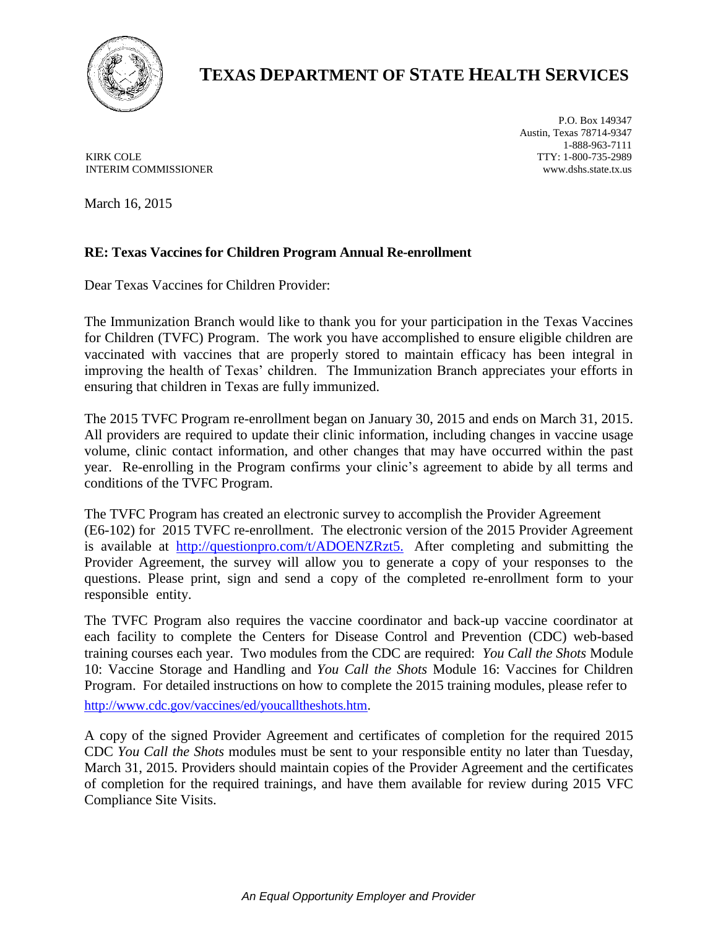

## **TEXAS DEPARTMENT OF STATE HEALTH SERVICES**

KIRK COLE INTERIM COMMISSIONER

P.O. Box 149347 Austin, Texas 78714-9347 1-888-963-7111 TTY: 1-800-735-2989 www.dshs.state.tx.us

March 16, 2015

## **RE: Texas Vaccines for Children Program Annual Re-enrollment**

Dear Texas Vaccines for Children Provider:

The Immunization Branch would like to thank you for your participation in the Texas Vaccines for Children (TVFC) Program. The work you have accomplished to ensure eligible children are vaccinated with vaccines that are properly stored to maintain efficacy has been integral in improving the health of Texas' children. The Immunization Branch appreciates your efforts in ensuring that children in Texas are fully immunized.

The 2015 TVFC Program re-enrollment began on January 30, 2015 and ends on March 31, 2015. All providers are required to update their clinic information, including changes in vaccine usage volume, clinic contact information, and other changes that may have occurred within the past year. Re-enrolling in the Program confirms your clinic's agreement to abide by all terms and conditions of the TVFC Program.

The TVFC Program has created an electronic survey to accomplish the Provider Agreement (E6-102) for 2015 TVFC re-enrollment. The electronic version of the 2015 Provider Agreement is available at [http://questionpro.com/t/ADOENZRzt5.](http://questionpro.com/t/ADOENZRzt5) After completing and submitting the Provider Agreement, the survey will allow you to generate a copy of your responses to the questions. Please print, sign and send a copy of the completed re-enrollment form to your responsible entity.

The TVFC Program also requires the vaccine coordinator and back-up vaccine coordinator at each facility to complete the Centers for Disease Control and Prevention (CDC) web-based training courses each year. Two modules from the CDC are required: *You Call the Shots* Module 10: Vaccine Storage and Handling and *You Call the Shots* Module 16: Vaccines for Children Program. For detailed instructions on how to complete the 2015 training modules, please refer to

[http://www.cdc.gov/vaccines/ed/youcalltheshots.htm.](http://www.cdc.gov/vaccines/ed/youcalltheshots.htm)

A copy of the signed Provider Agreement and certificates of completion for the required 2015 CDC *You Call the Shots* modules must be sent to your responsible entity no later than Tuesday, March 31, 2015. Providers should maintain copies of the Provider Agreement and the certificates of completion for the required trainings, and have them available for review during 2015 VFC Compliance Site Visits.